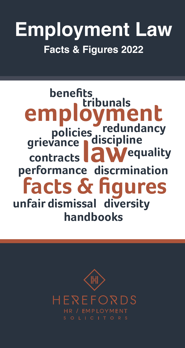# **Employment Law Facts & Figures 2022**

# **grievance discipline employment l**aw **facts & figures benefits policies redundancy tribunals** contracts **aW** equality **performance discrmination unfair dismissal diversity handbooks**

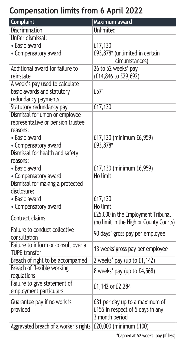# **Compensation limits from 6 April 2022**

| Complaint                              | Maximum award                           |
|----------------------------------------|-----------------------------------------|
| Discrimination                         | Unlimited                               |
| Unfair dismissal:                      |                                         |
| • Basic award                          | £17,130                                 |
| • Compensatory award                   | £93,878* (unlimited in certain          |
|                                        | circumstances)                          |
| Additional award for failure to        | 26 to 52 weeks' pay                     |
| reinstate                              | (£14,846 to £29,692)                    |
| A week's pay used to calculate         |                                         |
| basic awards and statutory             | £571                                    |
| redundancy payments                    |                                         |
| Statutory redundancy pay               | £17,130                                 |
| Dismissal for union or employee        |                                         |
| representative or pension trustee      |                                         |
| reasons:<br>• Basic award              |                                         |
| • Compensatory award                   | £17,130 (minimum £6,959)<br>£93,878*    |
| Dismissal for health and safety        |                                         |
| reasons:                               |                                         |
| • Basic award                          | £17,130 (minimum £6,959)                |
| • Compensatory award                   | No limit                                |
| Dismissal for making a protected       |                                         |
| disclosure:                            |                                         |
| • Basic award                          | £17,130                                 |
| • Compensatory award                   | No limit                                |
| Contract claims                        | £25,000 in the Employment Tribunal      |
|                                        | (no limit in the High or County Courts) |
| Failure to conduct collective          | 90 days' gross pay per employee         |
| consultation                           |                                         |
| Failure to inform or consult over a    | 13 weeks' gross pay per employee        |
| <b>TUPE</b> transfer                   |                                         |
| Breach of right to be accompanied      | 2 weeks' pay (up to £1,142)             |
| Breach of flexible working             | 8 weeks' pay (up to £4,568)             |
| regulations                            |                                         |
| Failure to give statement of           | £1,142 or £2,284                        |
| employment particulars                 |                                         |
| Guarantee pay if no work is            | £31 per day up to a maximum of          |
| provided                               | £155 in respect of 5 days in any        |
|                                        | 3 month period                          |
| Aggravated breach of a worker's rights | £20,000 (minimum £100)                  |

**\*Capped at 52 weeks' pay (if less)**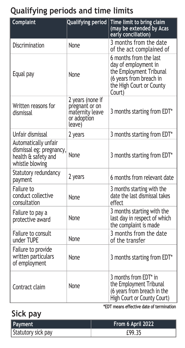# **Qualifying periods and time limits**

| Complaint                                                                                  | Qualifying period                                                              | Time limit to bring claim<br>(may be extended by Acas<br>early conciliation)                                                               |
|--------------------------------------------------------------------------------------------|--------------------------------------------------------------------------------|--------------------------------------------------------------------------------------------------------------------------------------------|
| Discrimination                                                                             | None                                                                           | 3 months from the date<br>of the act complained of                                                                                         |
| Equal pay                                                                                  | None                                                                           | 6 months from the last<br>day of employment in<br>the Employment Tribunal<br>(6 years from breach in<br>the High Court or County<br>Court) |
| Written reasons for<br>dismissal                                                           | 2 years (none if<br>pregnant or on<br>maternity leave<br>or adoption<br>leave) | 3 months starting from EDT*                                                                                                                |
| Unfair dismissal                                                                           | 2 years                                                                        | 3 months starting from EDT*                                                                                                                |
| Automatically unfair<br>dismissal eg: pregnancy,<br>health & safety and<br>whistle blowing | None                                                                           | 3 months starting from EDT*                                                                                                                |
| Statutory redundancy<br>payment                                                            | 2 years                                                                        | 6 months from relevant date                                                                                                                |
| Failure to<br>conduct collective<br>consultation                                           | None                                                                           | 3 months starting with the<br>date the last dismissal takes<br>effect                                                                      |
| Failure to pay a<br>protective award                                                       | None                                                                           | 3 months starting with the<br>last day in respect of which<br>the complaint is made                                                        |
| Failure to consult<br>under TUPE                                                           | None                                                                           | 3 months from the date<br>of the transfer                                                                                                  |
| Failure to provide<br>written particulars<br>of employment                                 | None                                                                           | 3 months starting from EDT*                                                                                                                |
| Contract claim                                                                             | None                                                                           | 3 months from EDT* in<br>the Employment Tribunal<br>(6 years from breach in the<br>High Court or County Court)                             |

**\*EDT means effective date of termination**

# **Sick pay**

| Payment            | From 6 April 2022 |
|--------------------|-------------------|
| Statutory sick pay | £99.35            |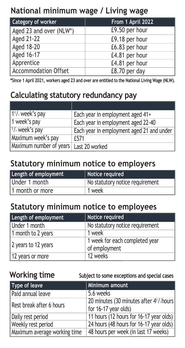#### **National minimum wage / Living wage**

| Category of worker          | From 1 April 2022 |
|-----------------------------|-------------------|
| Aged 23 and over (NLW*)     | £9.50 per hour    |
| Aged 21-22                  | £9.18 per hour    |
| Aged 18-20                  | £6.83 per hour    |
| Aged 16-17                  | £4.81 per hour    |
| Apprentice                  | £4.81 per hour    |
| <b>Accommodation Offset</b> | £8.70 per day     |

**\*Since 1 April 2021, workers aged 23 and over are entitled to the National Living Wage (NLW).**

### **Calculating statutory redundancy pay**

| 1 <sup>1</sup> / <sub>2</sub> week's pay | Each year in employment aged 41+          |
|------------------------------------------|-------------------------------------------|
| 1 week's pay                             | Each year in employment aged 22-40        |
| $1/2$ week's pay                         | Each year in employment aged 21 and under |
| Maximum week's pay                       | £571                                      |
| Maximum number of years                  | Last 20 worked                            |

#### **Statutory minimum notice to employers**

| Length of employment | Notice required                 |
|----------------------|---------------------------------|
| Under 1 month        | No statutory notice requirement |
| 1 month or more      | 1 week                          |

#### **Statutory minimum notice to employees**

| Length of employment | Notice required                                 |
|----------------------|-------------------------------------------------|
| Under 1 month        | No statutory notice requirement                 |
| 1 month to 2 years   | 1 week                                          |
| 2 years to 12 years  | 1 week for each completed year<br>of employment |
| 12 years or more     | 12 weeks                                        |

**Working time Subject to some exceptions and special cases**

| Type of leave                | Minimum amount                                                   |
|------------------------------|------------------------------------------------------------------|
| Paid annual leave            | 5.6 weeks                                                        |
| Rest break after 6 hours     | 20 minutes (30 minutes after 4 <sup>1</sup> / <sub>2</sub> hours |
|                              | for 16-17 year olds)                                             |
| Daily rest period            | 11 hours (12 hours for 16-17 year olds)                          |
| Weekly rest period           | 24 hours (48 hours for 16-17 year olds)                          |
| Maximum average working time | 48 hours per week (in last 17 weeks)                             |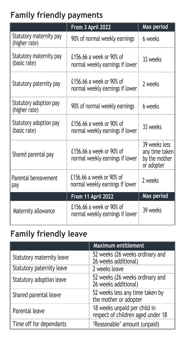# **Family friendly payments**

|                                          | From 3 April 2022                                           | Max period                                                     |
|------------------------------------------|-------------------------------------------------------------|----------------------------------------------------------------|
| Statutory maternity pay<br>(higher rate) | 90% of normal weekly earnings                               | 6 weeks                                                        |
| Statutory maternity pay<br>(basic rate)  | £156.66 a week or 90% of<br>normal weekly earnings if lower | 33 weeks                                                       |
| Statutory paternity pay                  | £156.66 a week or 90% of<br>normal weekly earnings if lower | 2 weeks                                                        |
| Statutory adoption pay<br>(higher rate)  | 90% of normal weekly earnings                               | 6 weeks                                                        |
| Statutory adoption pay<br>(basic rate)   | £156.66 a week or 90% of<br>normal weekly earnings if lower | 33 weeks                                                       |
| Shared parental pay                      | £156,66 a week or 90% of<br>normal weekly earnings if lower | 39 weeks less<br>any time taken<br>by the mother<br>or adopter |
| Parental bereavement<br>pay              | £156.66 a week or 90% of<br>normal weekly earnings if lower | 2 weeks                                                        |
|                                          | From 11 April 2022                                          | Max period                                                     |
| Maternity allowance                      | £156.66 a week or 90% of<br>normal weekly earnings if lower | 39 weeks                                                       |

# **Family friendly leave**

|                           | <b>Maximum entitlement</b>                                        |
|---------------------------|-------------------------------------------------------------------|
| Statutory maternity leave | 52 weeks (26 weeks ordinary and<br>26 weeks additional)           |
| Statutory paternity leave | 2 weeks leave                                                     |
| Statutory adoption leave  | 52 weeks (26 weeks ordinary and<br>26 weeks additional)           |
| Shared parental leave     | 52 weeks less any time taken by<br>the mother or adopter          |
| Parental leave            | 18 weeks unpaid per child in<br>respect of children aged under 18 |
| Time off for dependants   | 'Reasonable' amount (unpaid)                                      |